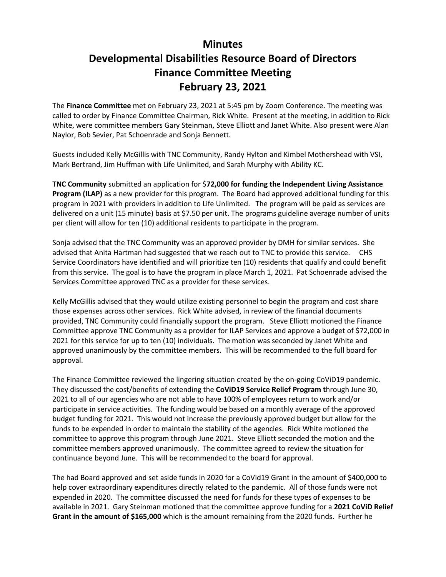## **Minutes Developmental Disabilities Resource Board of Directors Finance Committee Meeting February 23, 2021**

The **Finance Committee** met on February 23, 2021 at 5:45 pm by Zoom Conference. The meeting was called to order by Finance Committee Chairman, Rick White. Present at the meeting, in addition to Rick White, were committee members Gary Steinman, Steve Elliott and Janet White. Also present were Alan Naylor, Bob Sevier, Pat Schoenrade and Sonja Bennett.

Guests included Kelly McGillis with TNC Community, Randy Hylton and Kimbel Mothershead with VSI, Mark Bertrand, Jim Huffman with Life Unlimited, and Sarah Murphy with Ability KC.

**TNC Community** submitted an application for \$**72,000 for funding the Independent Living Assistance Program (ILAP)** as a new provider for this program. The Board had approved additional funding for this program in 2021 with providers in addition to Life Unlimited. The program will be paid as services are delivered on a unit (15 minute) basis at \$7.50 per unit. The programs guideline average number of units per client will allow for ten (10) additional residents to participate in the program.

Sonja advised that the TNC Community was an approved provider by DMH for similar services. She advised that Anita Hartman had suggested that we reach out to TNC to provide this service. CHS Service Coordinators have identified and will prioritize ten (10) residents that qualify and could benefit from this service. The goal is to have the program in place March 1, 2021. Pat Schoenrade advised the Services Committee approved TNC as a provider for these services.

Kelly McGillis advised that they would utilize existing personnel to begin the program and cost share those expenses across other services. Rick White advised, in review of the financial documents provided, TNC Community could financially support the program. Steve Elliott motioned the Finance Committee approve TNC Community as a provider for ILAP Services and approve a budget of \$72,000 in 2021 for this service for up to ten (10) individuals. The motion was seconded by Janet White and approved unanimously by the committee members. This will be recommended to the full board for approval.

The Finance Committee reviewed the lingering situation created by the on-going CoViD19 pandemic. They discussed the cost/benefits of extending the **CoViD19 Service Relief Program t**hrough June 30, 2021 to all of our agencies who are not able to have 100% of employees return to work and/or participate in service activities. The funding would be based on a monthly average of the approved budget funding for 2021. This would not increase the previously approved budget but allow for the funds to be expended in order to maintain the stability of the agencies. Rick White motioned the committee to approve this program through June 2021. Steve Elliott seconded the motion and the committee members approved unanimously. The committee agreed to review the situation for continuance beyond June. This will be recommended to the board for approval.

The had Board approved and set aside funds in 2020 for a CoVid19 Grant in the amount of \$400,000 to help cover extraordinary expenditures directly related to the pandemic. All of those funds were not expended in 2020. The committee discussed the need for funds for these types of expenses to be available in 2021. Gary Steinman motioned that the committee approve funding for a **2021 CoViD Relief Grant in the amount of \$165,000** which is the amount remaining from the 2020 funds. Further he